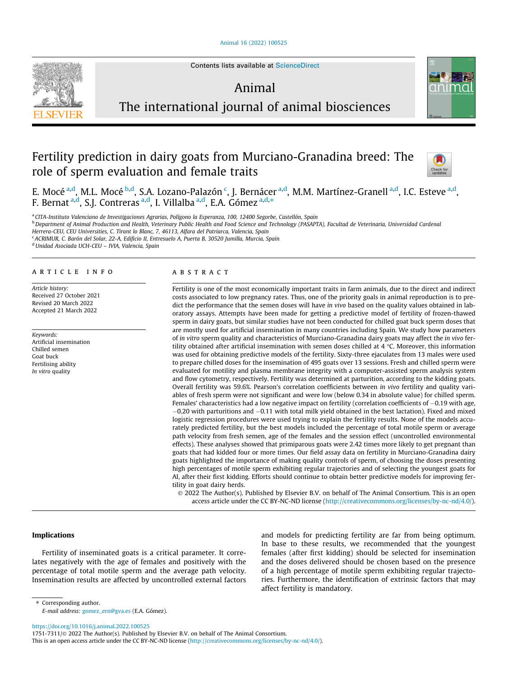[Animal 16 \(2022\) 100525](https://doi.org/10.1016/j.animal.2022.100525)



Contents lists available at [ScienceDirect](http://www.sciencedirect.com/science/journal/17517311)

# Animal



The international journal of animal biosciences

# Fertility prediction in dairy goats from Murciano-Granadina breed: The role of sperm evaluation and female traits



E. Mocé <sup>a,d</sup>, M.L. Mocé <sup>b,d</sup>, S.A. Lozano-Palazón <sup>c</sup>, J. Bernácer <sup>a,d</sup>, M.M. Martínez-Granell <sup>a,d</sup>, I.C. Esteve <sup>a,d</sup>, F. Bernat <sup>a,d</sup>, S.J. Contreras <sup>a,d</sup>, I. Villalba <sup>a,d</sup>, E.A. Gómez <sup>a,d,</sup>\*

a CITA-Instituto Valenciano de Investigaciones Agrarias, Polígono la Esperanza, 100, 12400 Segorbe, Castellón, Spain

<sup>b</sup> Department of Animal Production and Health, Veterinary Public Health and Food Science and Technology (PASAPTA), Facultad de Veterinaria, Universidad Cardenal

Herrera-CEU, CEU Universities, C. Tirant lo Blanc, 7, 46113, Alfara del Patriarca, Valencia, Spain

<sup>c</sup> ACRIMUR, C. Barón del Solar, 22-A, Edificio II, Entresuelo A, Puerta B, 30520 Jumilla, Murcia, Spain

<sup>d</sup> Unidad Asociada UCH-CEU - IVIA, Valencia, Spain

#### article info

Article history: Received 27 October 2021 Revised 20 March 2022 Accepted 21 March 2022

Keywords: Artificial insemination Chilled semen Goat buck Fertilising ability In vitro quality

# ABSTRACT

Fertility is one of the most economically important traits in farm animals, due to the direct and indirect costs associated to low pregnancy rates. Thus, one of the priority goals in animal reproduction is to predict the performance that the semen doses will have in vivo based on the quality values obtained in laboratory assays. Attempts have been made for getting a predictive model of fertility of frozen-thawed sperm in dairy goats, but similar studies have not been conducted for chilled goat buck sperm doses that are mostly used for artificial insemination in many countries including Spain. We study how parameters of in vitro sperm quality and characteristics of Murciano-Granadina dairy goats may affect the in vivo fertility obtained after artificial insemination with semen doses chilled at  $4 \degree C$ . Moreover, this information was used for obtaining predictive models of the fertility. Sixty-three ejaculates from 13 males were used to prepare chilled doses for the insemination of 495 goats over 13 sessions. Fresh and chilled sperm were evaluated for motility and plasma membrane integrity with a computer-assisted sperm analysis system and flow cytometry, respectively. Fertility was determined at parturition, according to the kidding goats. Overall fertility was 59.6%. Pearson's correlation coefficients between in vivo fertility and quality variables of fresh sperm were not significant and were low (below 0.34 in absolute value) for chilled sperm. Females' characteristics had a low negative impact on fertility (correlation coefficients of  $-0.19$  with age,  $-0.20$  with parturitions and  $-0.11$  with total milk yield obtained in the best lactation). Fixed and mixed logistic regression procedures were used trying to explain the fertility results. None of the models accurately predicted fertility, but the best models included the percentage of total motile sperm or average path velocity from fresh semen, age of the females and the session effect (uncontrolled environmental effects). These analyses showed that primiparous goats were 2.42 times more likely to get pregnant than goats that had kidded four or more times. Our field assay data on fertility in Murciano-Granadina dairy goats highlighted the importance of making quality controls of sperm, of choosing the doses presenting high percentages of motile sperm exhibiting regular trajectories and of selecting the youngest goats for AI, after their first kidding. Efforts should continue to obtain better predictive models for improving fertility in goat dairy herds.

 2022 The Author(s). Published by Elsevier B.V. on behalf of The Animal Consortium. This is an open access article under the CC BY-NC-ND license (<http://creativecommons.org/licenses/by-nc-nd/4.0/>).

# Implications

Fertility of inseminated goats is a critical parameter. It correlates negatively with the age of females and positively with the percentage of total motile sperm and the average path velocity. Insemination results are affected by uncontrolled external factors and models for predicting fertility are far from being optimum. In base to these results, we recommended that the youngest females (after first kidding) should be selected for insemination and the doses delivered should be chosen based on the presence of a high percentage of motile sperm exhibiting regular trajectories. Furthermore, the identification of extrinsic factors that may affect fertility is mandatory.

<https://doi.org/10.1016/j.animal.2022.100525>

1751-7311/ $\oslash$  2022 The Author(s). Published by Elsevier B.V. on behalf of The Animal Consortium.

<sup>⇑</sup> Corresponding author. E-mail address: [gomez\\_ern@gva.es](mailto:gomez_ern@gva.es) (E.A. Gómez).

This is an open access article under the CC BY-NC-ND license ([http://creativecommons.org/licenses/by-nc-nd/4.0/\)](http://creativecommons.org/licenses/by-nc-nd/4.0/).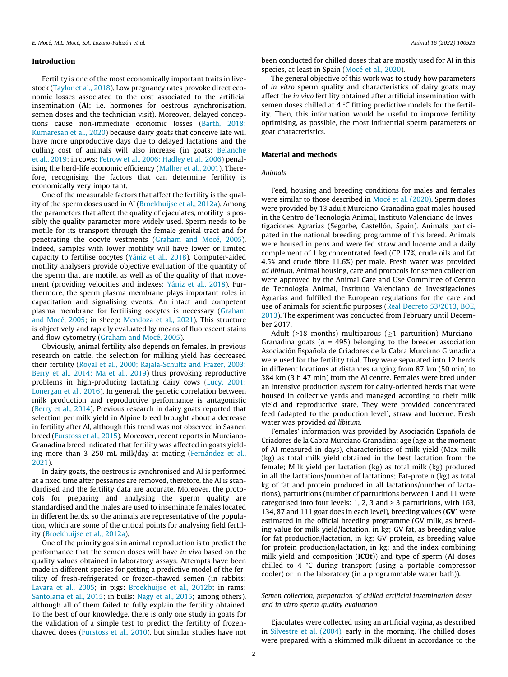# Introduction

Fertility is one of the most economically important traits in livestock [\(Taylor et al., 2018](#page-9-0)). Low pregnancy rates provoke direct economic losses associated to the cost associated to the artificial insemination (AI; i.e. hormones for oestrous synchronisation, semen doses and the technician visit). Moreover, delayed conceptions cause non-immediate economic losses ([Barth, 2018;](#page-8-0) [Kumaresan et al., 2020\)](#page-8-0) because dairy goats that conceive late will have more unproductive days due to delayed lactations and the culling cost of animals will also increase (in goats: [Belanche](#page-8-0) [et al., 2019](#page-8-0); in cows: [Fetrow et al., 2006; Hadley et al., 2006\)](#page-8-0) penalising the herd-life economic efficiency ([Malher et al., 2001\)](#page-9-0). Therefore, recognising the factors that can determine fertility is economically very important.

One of the measurable factors that affect the fertility is the quality of the sperm doses used in AI ([Broekhuijse et al., 2012a\)](#page-8-0). Among the parameters that affect the quality of ejaculates, motility is possibly the quality parameter more widely used. Sperm needs to be motile for its transport through the female genital tract and for penetrating the oocyte vestments [\(Graham and Mocé, 2005\)](#page-8-0). Indeed, samples with lower motility will have lower or limited capacity to fertilise oocytes ([Yániz et al., 2018\)](#page-9-0). Computer-aided motility analysers provide objective evaluation of the quantity of the sperm that are motile, as well as of the quality of that movement (providing velocities and indexes; [Yániz et al., 2018](#page-9-0)). Furthermore, the sperm plasma membrane plays important roles in capacitation and signalising events. An intact and competent plasma membrane for fertilising oocytes is necessary ([Graham](#page-8-0) [and Mocé, 2005;](#page-8-0) in sheep: [Mendoza et al., 2021\)](#page-9-0). This structure is objectively and rapidly evaluated by means of fluorescent stains and flow cytometry [\(Graham and Mocé, 2005](#page-8-0)).

Obviously, animal fertility also depends on females. In previous research on cattle, the selection for milking yield has decreased their fertility ([Royal et al., 2000; Rajala-Schultz and Frazer, 2003;](#page-9-0) [Berry et al., 2014; Ma et al., 2019\)](#page-9-0) thus provoking reproductive problems in high-producing lactating dairy cows ([Lucy, 2001;](#page-9-0) [Lonergan et al., 2016](#page-9-0)). In general, the genetic correlation between milk production and reproductive performance is antagonistic ([Berry et al., 2014\)](#page-8-0). Previous research in dairy goats reported that selection per milk yield in Alpine breed brought about a decrease in fertility after AI, although this trend was not observed in Saanen breed [\(Furstoss et al., 2015\)](#page-8-0). Moreover, recent reports in Murciano-Granadina breed indicated that fertility was affected in goats yielding more than 3 250 mL milk/day at mating ([Fernández et al.,](#page-8-0) [2021\)](#page-8-0).

In dairy goats, the oestrous is synchronised and AI is performed at a fixed time after pessaries are removed, therefore, the AI is standardised and the fertility data are accurate. Moreover, the protocols for preparing and analysing the sperm quality are standardised and the males are used to inseminate females located in different herds, so the animals are representative of the population, which are some of the critical points for analysing field fertility [\(Broekhuijse et al., 2012a\)](#page-8-0).

One of the priority goals in animal reproduction is to predict the performance that the semen doses will have in vivo based on the quality values obtained in laboratory assays. Attempts have been made in different species for getting a predictive model of the fertility of fresh-refrigerated or frozen-thawed semen (in rabbits: [Lavara et al., 2005;](#page-8-0) in pigs: [Broekhuijse et al., 2012b;](#page-8-0) in rams: [Santolaria et al., 2015;](#page-9-0) in bulls: [Nagy et al., 2015;](#page-9-0) among others), although all of them failed to fully explain the fertility obtained. To the best of our knowledge, there is only one study in goats for the validation of a simple test to predict the fertility of frozenthawed doses ([Furstoss et al., 2010\)](#page-8-0), but similar studies have not been conducted for chilled doses that are mostly used for AI in this species, at least in Spain [\(Mocé et al., 2020](#page-9-0)).

The general objective of this work was to study how parameters of in vitro sperm quality and characteristics of dairy goats may affect the in vivo fertility obtained after artificial insemination with semen doses chilled at 4  $\degree$ C fitting predictive models for the fertility. Then, this information would be useful to improve fertility optimising, as possible, the most influential sperm parameters or goat characteristics.

# Material and methods

# Animals

Feed, housing and breeding conditions for males and females were similar to those described in [Mocé et al. \(2020\).](#page-9-0) Sperm doses were provided by 13 adult Murciano-Granadina goat males housed in the Centro de Tecnología Animal, Instituto Valenciano de Investigaciones Agrarias (Segorbe, Castellón, Spain). Animals participated in the national breeding programme of this breed. Animals were housed in pens and were fed straw and lucerne and a daily complement of 1 kg concentrated feed (CP 17%, crude oils and fat 4.5% and crude fibre 11.6%) per male. Fresh water was provided ad libitum. Animal housing, care and protocols for semen collection were approved by the Animal Care and Use Committee of Centro de Tecnología Animal, Instituto Valenciano de Investigaciones Agrarias and fulfilled the European regulations for the care and use of animals for scientific purposes ([Real Decreto 53/2013, BOE,](#page-9-0) [2013\)](#page-9-0). The experiment was conducted from February until December 2017.

Adult (>18 months) multiparous ( $\geq$ 1 parturition) Murciano-Granadina goats ( $n = 495$ ) belonging to the breeder association Asociación Española de Criadores de la Cabra Murciano Granadina were used for the fertility trial. They were separated into 12 herds in different locations at distances ranging from 87 km (50 min) to 384 km (3 h 47 min) from the AI centre. Females were bred under an intensive production system for dairy-oriented herds that were housed in collective yards and managed according to their milk yield and reproductive state. They were provided concentrated feed (adapted to the production level), straw and lucerne. Fresh water was provided ad libitum.

Females' information was provided by Asociación Española de Criadores de la Cabra Murciano Granadina: age (age at the moment of AI measured in days), characteristics of milk yield (Max milk (kg) as total milk yield obtained in the best lactation from the female; Milk yield per lactation (kg) as total milk (kg) produced in all the lactations/number of lactations; Fat-protein (kg) as total kg of fat and protein produced in all lactations/number of lactations), parturitions (number of parturitions between 1 and 11 were categorised into four levels: 1, 2, 3 and > 3 parturitions, with 163, 134, 87 and 111 goat does in each level), breeding values (GV) were estimated in the official breeding programme (GV milk, as breeding value for milk yield/lactation, in kg; GV fat, as breeding value for fat production/lactation, in kg; GV protein, as breeding value for protein production/lactation, in kg; and the index combining milk yield and composition (ICOt)) and type of sperm (AI doses chilled to 4  $\degree$ C during transport (using a portable compressor cooler) or in the laboratory (in a programmable water bath)).

# Semen collection, preparation of chilled artificial insemination doses and in vitro sperm quality evaluation

Ejaculates were collected using an artificial vagina, as described in [Silvestre et al. \(2004\)](#page-9-0), early in the morning. The chilled doses were prepared with a skimmed milk diluent in accordance to the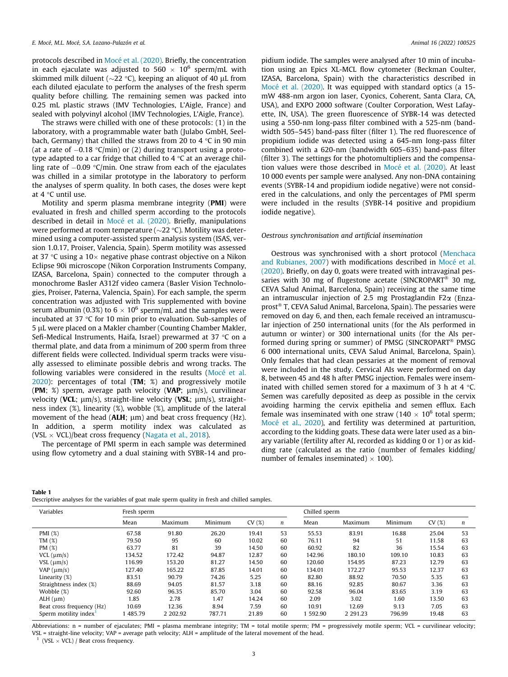<span id="page-2-0"></span>protocols described in [Mocé et al. \(2020\).](#page-9-0) Briefly, the concentration in each ejaculate was adjusted to 560  $\times$  10<sup>6</sup> sperm/mL with skimmed milk diluent ( $\sim$ 22 °C), keeping an aliquot of 40 µL from each diluted ejaculate to perform the analyses of the fresh sperm quality before chilling. The remaining semen was packed into 0.25 mL plastic straws (IMV Technologies, L'Aigle, France) and sealed with polyvinyl alcohol (IMV Technologies, L'Aigle, France).

The straws were chilled with one of these protocols: (1) in the laboratory, with a programmable water bath (Julabo GmbH, Seelbach, Germany) that chilled the straws from 20 to 4  $\degree$ C in 90 min (at a rate of  $-0.18$  °C/min) or (2) during transport using a prototype adapted to a car fridge that chilled to  $4^{\circ}$ C at an average chilling rate of  $-0.09$  °C/min. One straw from each of the ejaculates was chilled in a similar prototype in the laboratory to perform the analyses of sperm quality. In both cases, the doses were kept at  $4^{\circ}$ C until use.

Motility and sperm plasma membrane integrity (PMI) were evaluated in fresh and chilled sperm according to the protocols described in detail in [Mocé et al. \(2020\)](#page-9-0). Briefly, manipulations were performed at room temperature ( $\sim$ 22 °C). Motility was determined using a computer-assisted sperm analysis system (ISAS, version 1.0.17, Proiser, Valencia, Spain). Sperm motility was assessed at 37 °C using a  $10\times$  negative phase contrast objective on a Nikon Eclipse 90i microscope (Nikon Corporation Instruments Company, IZASA, Barcelona, Spain) connected to the computer through a monochrome Basler A312f video camera (Basler Vision Technologies, Proiser, Paterna, Valencia, Spain). For each sample, the sperm concentration was adjusted with Tris supplemented with bovine serum albumin (0.3%) to  $6 \times 10^6$  sperm/mL and the samples were incubated at 37  $\degree$ C for 10 min prior to evaluation. Sub-samples of 5 lL were placed on a Makler chamber (Counting Chamber Makler, Sefi-Medical Instruments, Haifa, Israel) prewarmed at 37 °C on a thermal plate, and data from a minimum of 200 sperm from three different fields were collected. Individual sperm tracks were visually assessed to eliminate possible debris and wrong tracks. The following variables were considered in the results ([Mocé et al.](#page-9-0) [2020](#page-9-0)): percentages of total (TM; %) and progressively motile (PM; %) sperm, average path velocity (VAP;  $\mu$ m/s), curvilinear velocity (VCL;  $\mu$ m/s), straight-line velocity (VSL;  $\mu$ m/s), straightness index (%), linearity (%), wobble (%), amplitude of the lateral movement of the head ( $ALH$ ;  $\mu$ m) and beat cross frequency (Hz). In addition, a sperm motility index was calculated as (VSL  $\times$  VCL)/beat cross frequency [\(Nagata et al., 2018\)](#page-9-0).

The percentage of PMI sperm in each sample was determined using flow cytometry and a dual staining with SYBR-14 and pro-

pidium iodide. The samples were analysed after 10 min of incubation using an Epics XL-MCL flow cytometer (Beckman Coulter, IZASA, Barcelona, Spain) with the characteristics described in [Mocé et al. \(2020\)](#page-9-0). It was equipped with standard optics (a 15 mW 488-nm argon ion laser, Cyonics, Coherent, Santa Clara, CA, USA), and EXPO 2000 software (Coulter Corporation, West Lafayette, IN, USA). The green fluorescence of SYBR-14 was detected using a 550-nm long-pass filter combined with a 525-nm (bandwidth 505–545) band-pass filter (filter 1). The red fluorescence of propidium iodide was detected using a 645-nm long-pass filter combined with a 620-nm (bandwidth 605–635) band-pass filter (filter 3). The settings for the photomultipliers and the compensation values were those described in [Mocé et al. \(2020\)](#page-9-0). At least 10 000 events per sample were analysed. Any non-DNA containing events (SYBR-14 and propidium iodide negative) were not considered in the calculations, and only the percentages of PMI sperm were included in the results (SYBR-14 positive and propidium iodide negative).

#### Oestrous synchronisation and artificial insemination

Oestrous was synchronised with a short protocol ([Menchaca](#page-9-0) [and Rubianes, 2007](#page-9-0)) with modifications described in [Mocé et al.](#page-9-0) [\(2020\)](#page-9-0). Briefly, on day 0, goats were treated with intravaginal pessaries with 30 mg of flugestone acetate (SINCROPART<sup>®</sup> 30 mg, CEVA Salud Animal, Barcelona, Spain) receiving at the same time an intramuscular injection of 2.5 mg Prostaglandin F2 $\alpha$  (Enzaprost<sup>®</sup> T, CEVA Salud Animal, Barcelona, Spain). The pessaries were removed on day 6, and then, each female received an intramuscular injection of 250 international units (for the AIs performed in autumn or winter) or 300 international units (for the AIs performed during spring or summer) of PMSG (SINCROPART<sup>®</sup> PMSG 6 000 international units, CEVA Salud Animal, Barcelona, Spain). Only females that had clean pessaries at the moment of removal were included in the study. Cervical AIs were performed on day 8, between 45 and 48 h after PMSG injection. Females were inseminated with chilled semen stored for a maximum of 3 h at 4  $\degree$ C. Semen was carefully deposited as deep as possible in the cervix avoiding harming the cervix epithelia and semen efflux. Each female was inseminated with one straw (140  $\times$  10<sup>6</sup> total sperm; [Mocé et al., 2020](#page-9-0)), and fertility was determined at parturition, according to the kidding goats. These data were later used as a binary variable (fertility after AI, recorded as kidding 0 or 1) or as kidding rate (calculated as the ratio (number of females kidding/ number of females inseminated)  $\times$  100).

|--|

Descriptive analyses for the variables of goat male sperm quality in fresh and chilled samples.

| Variables                 | Fresh sperm |          |         |       |                  | Chilled sperm |               |         |       |    |
|---------------------------|-------------|----------|---------|-------|------------------|---------------|---------------|---------|-------|----|
|                           | Mean        | Maximum  | Minimum | CV(%) | $\boldsymbol{n}$ | Mean          | Maximum       | Minimum | CV(%) | n  |
| PMI $(%)$                 | 67.58       | 91.80    | 26.20   | 19.41 | 53               | 55.53         | 83.91         | 16.88   | 25.04 | 53 |
| TM(%)                     | 79.50       | 95       | 60      | 10.02 | 60               | 76.11         | 94            | 51      | 11.58 | 63 |
| PM(%)                     | 63.77       | 81       | 39      | 14.50 | 60               | 60.92         | 82            | 36      | 15.54 | 63 |
| $VCL$ ( $\mu$ m/s)        | 134.52      | 172.42   | 94.87   | 12.87 | 60               | 142.96        | 180.10        | 109.10  | 10.83 | 63 |
| $VSL$ ( $\mu$ m/s)        | 116.99      | 153.20   | 81.27   | 14.50 | 60               | 120.60        | 154.95        | 87.23   | 12.79 | 63 |
| $VAP$ ( $\mu$ m/s)        | 127.40      | 165.22   | 87.85   | 14.01 | 60               | 134.01        | 172.27        | 95.53   | 12.37 | 63 |
| Linearity $(\%)$          | 83.51       | 90.79    | 74.26   | 5.25  | 60               | 82.80         | 88.92         | 70.50   | 5.35  | 63 |
| Straightness index (%)    | 88.69       | 94.05    | 81.57   | 3.18  | 60               | 88.16         | 92.85         | 80.67   | 3.36  | 63 |
| Wobble (%)                | 92.60       | 96.35    | 85.70   | 3.04  | 60               | 92.58         | 96.04         | 83.65   | 3.19  | 63 |
| $ALH$ ( $\mu$ m)          | 1.85        | 2.78     | 1.47    | 14.24 | 60               | 2.09          | 3.02          | 1.60    | 13.50 | 63 |
| Beat cross frequency (Hz) | 10.69       | 12.36    | 8.94    | 7.59  | 60               | 10.91         | 12.69         | 9.13    | 7.05  | 63 |
| Sperm motility index $1$  | 485.79      | 2 202.92 | 787.71  | 21.89 | 60               | 592.90        | 2 2 9 1 . 2 3 | 796.99  | 19.48 | 63 |
|                           |             |          |         |       |                  |               |               |         |       |    |

Abbreviations: n = number of ejaculates; PMI = plasma membrane integrity; TM = total motile sperm; PM = progressively motile sperm; VCL = curvilinear velocity; VSL = straight-line velocity; VAP = average path velocity; ALH = amplitude of the lateral movement of the head.

<sup>1</sup> (VSL  $\times$  VCL) / Beat cross frequency.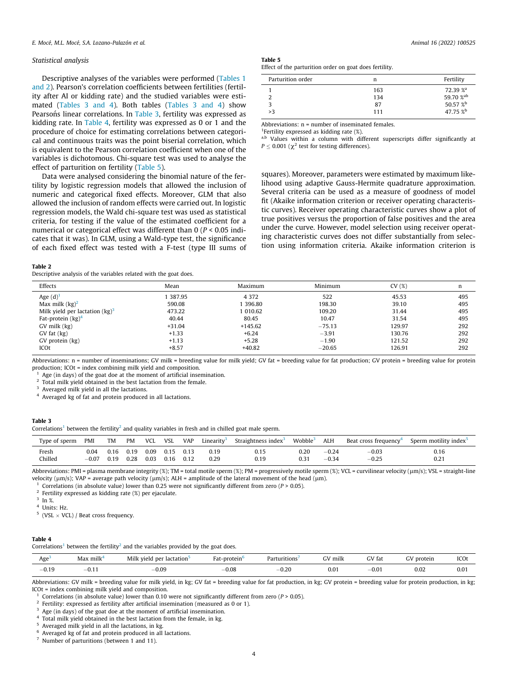#### <span id="page-3-0"></span>Statistical analysis

Descriptive analyses of the variables were performed [\(Tables 1](#page-2-0) [and 2\)](#page-2-0). Pearson's correlation coefficients between fertilities (fertility after AI or kidding rate) and the studied variables were estimated (Tables 3 and 4). Both tables (Tables 3 and 4) show Pearson's linear correlations. In Table 3, fertility was expressed as kidding rate. In Table 4, fertility was expressed as 0 or 1 and the procedure of choice for estimating correlations between categorical and continuous traits was the point biserial correlation, which is equivalent to the Pearson correlation coefficient when one of the variables is dichotomous. Chi-square test was used to analyse the effect of parturition on fertility (Table 5).

Data were analysed considering the binomial nature of the fertility by logistic regression models that allowed the inclusion of numeric and categorical fixed effects. Moreover, GLM that also allowed the inclusion of random effects were carried out. In logistic regression models, the Wald chi-square test was used as statistical criteria, for testing if the value of the estimated coefficient for a numerical or categorical effect was different than  $0$  ( $P < 0.05$  indicates that it was). In GLM, using a Wald-type test, the significance of each fixed effect was tested with a F-test (type III sums of

# Table 5

Effect of the parturition order on goat does fertility.

| Parturition order | n   | Fertility            |
|-------------------|-----|----------------------|
|                   | 163 | 72.39 % <sup>a</sup> |
|                   | 134 | 59.70 %ab            |
|                   | 87  | 50.57 %b             |
| >3                | 111 | 47.75 $\%^{\rm b}$   |
|                   |     |                      |

Abbreviations: n = number of inseminated females.

<sup>1</sup>Fertility expressed as kidding rate (%).

a,b Values within a column with different superscripts differ significantly at  $P \leq 0.001$  ( $\chi^2$  test for testing differences).

squares). Moreover, parameters were estimated by maximum likelihood using adaptive Gauss-Hermite quadrature approximation. Several criteria can be used as a measure of goodness of model fit (Akaike information criterion or receiver operating characteristic curves). Receiver operating characteristic curves show a plot of true positives versus the proportion of false positives and the area under the curve. However, model selection using receiver operating characteristic curves does not differ substantially from selection using information criteria. Akaike information criterion is

#### Table 2

Descriptive analysis of the variables related with the goat does.

| Effects                           | Mean     | Maximum   | Minimum  | CV(%)  | n   |
|-----------------------------------|----------|-----------|----------|--------|-----|
| Age $(d)$ <sup>1</sup>            | 387.95   | 4 3 7 2   | 522      | 45.53  | 495 |
| Max milk $(kg)^2$                 | 590.08   | 396.80    | 198.30   | 39.10  | 495 |
| Milk yield per lactation $(kg)^3$ | 473.22   | 1 010.62  | 109.20   | 31.44  | 495 |
| Fat-protein $(kg)^4$              | 40.44    | 80.45     | 10.47    | 31.54  | 495 |
| GV milk (kg)                      | $+31.04$ | $+145.62$ | $-75.13$ | 129.97 | 292 |
| $GV$ fat $(kg)$                   | $+1.33$  | $+6.24$   | $-3.91$  | 130.76 | 292 |
| GV protein (kg)                   | $+1.13$  | $+5.28$   | $-1.90$  | 121.52 | 292 |
| ICOt                              | $+8.57$  | $+40.82$  | $-20.65$ | 126.91 | 292 |

Abbreviations: n = number of inseminations; GV milk = breeding value for milk yield; GV fat = breeding value for fat production; GV protein = breeding value for protein production; ICOt = index combining milk yield and composition.

Age (in days) of the goat doe at the moment of artificial insemination.

<sup>2</sup> Total milk yield obtained in the best lactation from the female.

<sup>3</sup> Averaged milk yield in all the lactations.

<sup>4</sup> Averaged kg of fat and protein produced in all lactations.

## Table 3

Correlations<sup>1</sup> between the fertility<sup>2</sup> and quality variables in fresh and in chilled goat male sperm.

| Type of sperm- | <b>PMI</b> | TM   | <b>PM</b> | <b>VCL</b> | VSL  | <b>VAP</b> | Linearity <sup>3</sup> | Straightness index <sup>3</sup> | Wobble    | <b>ALH</b> | Beat cross frequency <sup>4</sup> | Sperm motility index <sup>5</sup> |
|----------------|------------|------|-----------|------------|------|------------|------------------------|---------------------------------|-----------|------------|-----------------------------------|-----------------------------------|
| Fresh          | 0.04       | 0.16 | 0.19      | 0.09       | 0.15 | 0.13       | 0.19                   | 0.15                            | $_{0.20}$ | $-0.24$    | $-0.03$                           | 0.16                              |
| Chilled        | $-0.07$    | 0.19 | 0.28      | 0.03       | 0.16 | 0.12       | 0.29                   | 0.19                            | 0.31      | $-0.34$    | $-0.25$                           | 0.21                              |

Abbreviations: PMI = plasma membrane integrity (%); TM = total motile sperm (%); PM = progressively motile sperm (%); VCL = curvilinear velocity ( $\mu$ m/s); VSL = straight-line velocity ( $\mu$ m/s); vAP = average path veloci

Correlations (in absolute value) lower than 0.25 were not significantly different from zero ( $P > 0.05$ ).

 $2$  Fertility expressed as kidding rate (%) per ejaculate.

 $3 \ln \frac{9}{6}$ .

<sup>4</sup> Units: Hz.

 $5$  (VSL  $\times$  VCL) / Beat cross frequency.

#### Table 4

Correlations<sup>1</sup> between the fertility<sup>2</sup> and the variables provided by the goat does.

| Age                  | Max $milk^{\prime}$ | Milk vield<br>per<br>lactation | Fat-protein | Parturitions    | milk<br>$\sim$ | GV fa<br>ાતા | protein | ICO  |
|----------------------|---------------------|--------------------------------|-------------|-----------------|----------------|--------------|---------|------|
| 0.10<br>$-1$<br>U.IJ | $-U.1$ .            | $-0.09$                        | $-0.08$     | n ar<br>$-0.20$ | 0.01           | $-0.01$      | 0.02    | 0.01 |

Abbreviations: GV milk = breeding value for milk yield, in kg; GV fat = breeding value for fat production, in kg; GV protein = breeding value for protein production, in kg; ICOt = index combining milk yield and composition.

Correlations (in absolute value) lower than 0.10 were not significantly different from zero ( $P > 0.05$ ).

 $^{\rm 2}$  Fertility: expressed as fertility after artificial insemination (measured as 0 or 1).

<sup>3</sup> Age (in days) of the goat doe at the moment of artificial insemination.

<sup>4</sup> Total milk yield obtained in the best lactation from the female, in kg.

<sup>5</sup> Averaged milk yield in all the lactations, in kg.

<sup>6</sup> Averaged kg of fat and protein produced in all lactations.

 $<sup>7</sup>$  Number of parturitions (between 1 and 11).</sup>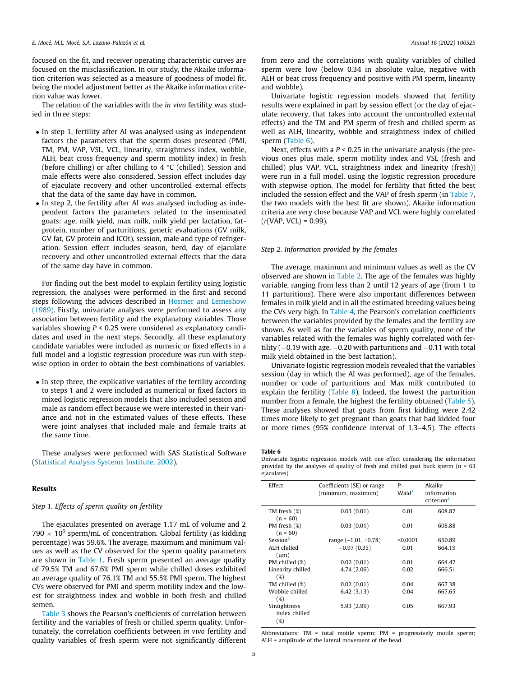focused on the fit, and receiver operating characteristic curves are focused on the misclassification. In our study, the Akaike information criterion was selected as a measure of goodness of model fit, being the model adjustment better as the Akaike information criterion value was lower.

The relation of the variables with the in vivo fertility was studied in three steps:

- In step 1, fertility after AI was analysed using as independent factors the parameters that the sperm doses presented (PMI, TM, PM, VAP, VSL, VCL, linearity, straightness index, wobble, ALH, beat cross frequency and sperm motility index) in fresh (before chilling) or after chilling to 4  $\degree$ C (chilled). Session and male effects were also considered. Session effect includes day of ejaculate recovery and other uncontrolled external effects that the data of the same day have in common.
- In step 2, the fertility after AI was analysed including as independent factors the parameters related to the inseminated goats: age, milk yield, max milk, milk yield per lactation, fatprotein, number of parturitions, genetic evaluations (GV milk, GV fat, GV protein and ICOt), session, male and type of refrigeration. Session effect includes season, herd, day of ejaculate recovery and other uncontrolled external effects that the data of the same day have in common.

For finding out the best model to explain fertility using logistic regression, the analyses were performed in the first and second steps following the advices described in [Hosmer and Lemeshow](#page-8-0) [\(1989\).](#page-8-0) Firstly, univariate analyses were performed to assess any association between fertility and the explanatory variables. Those variables showing  $P < 0.25$  were considered as explanatory candidates and used in the next steps. Secondly, all these explanatory candidate variables were included as numeric or fixed effects in a full model and a logistic regression procedure was run with stepwise option in order to obtain the best combinations of variables.

• In step three, the explicative variables of the fertility according to steps 1 and 2 were included as numerical or fixed factors in mixed logistic regression models that also included session and male as random effect because we were interested in their variance and not in the estimated values of these effects. These were joint analyses that included male and female traits at the same time.

These analyses were performed with SAS Statistical Software ([Statistical Analysis Systems Institute, 2002](#page-9-0)).

## Results

# Step 1. Effects of sperm quality on fertility

The ejaculates presented on average 1.17 mL of volume and 2 790  $\times$  10<sup>6</sup> sperm/mL of concentration. Global fertility (as kidding percentage) was 59.6%. The average, maximum and minimum values as well as the CV observed for the sperm quality parameters are shown in [Table 1](#page-2-0). Fresh sperm presented an average quality of 79.5% TM and 67.6% PMI sperm while chilled doses exhibited an average quality of 76.1% TM and 55.5% PMI sperm. The highest CVs were observed for PMI and sperm motility index and the lowest for straightness index and wobble in both fresh and chilled semen.

[Table 3](#page-3-0) shows the Pearson's coefficients of correlation between fertility and the variables of fresh or chilled sperm quality. Unfortunately, the correlation coefficients between in vivo fertility and quality variables of fresh sperm were not significantly different

from zero and the correlations with quality variables of chilled sperm were low (below 0.34 in absolute value, negative with ALH or beat cross frequency and positive with PM sperm, linearity and wobble).

Univariate logistic regression models showed that fertility results were explained in part by session effect (or the day of ejaculate recovery, that takes into account the uncontrolled external effects) and the TM and PM sperm of fresh and chilled sperm as well as ALH, linearity, wobble and straightness index of chilled sperm (Table 6).

Next, effects with a  $P < 0.25$  in the univariate analysis (the previous ones plus male, sperm motility index and VSL (fresh and chilled) plus VAP, VCL, straightness index and linearity (fresh)) were run in a full model, using the logistic regression procedure with stepwise option. The model for fertility that fitted the best included the session effect and the VAP of fresh sperm (in [Table 7,](#page-5-0) the two models with the best fit are shown). Akaike information criteria are very close because VAP and VCL were highly correlated  $(r(VAP, VCL) = 0.99)$ .

# Step 2. Information provided by the females

The average, maximum and minimum values as well as the CV observed are shown in [Table 2](#page-3-0). The age of the females was highly variable, ranging from less than 2 until 12 years of age (from 1 to 11 parturitions). There were also important differences between females in milk yield and in all the estimated breeding values being the CVs very high. In [Table 4,](#page-3-0) the Pearson's correlation coefficients between the variables provided by the females and the fertility are shown. As well as for the variables of sperm quality, none of the variables related with the females was highly correlated with fertility  $(-0.19$  with age,  $-0.20$  with parturitions and  $-0.11$  with total milk yield obtained in the best lactation).

Univariate logistic regression models revealed that the variables session (day in which the AI was performed), age of the females, number or code of parturitions and Max milk contributed to explain the fertility [\(Table 8\)](#page-5-0). Indeed, the lowest the parturition number from a female, the highest the fertility obtained [\(Table 5\)](#page-3-0). These analyses showed that goats from first kidding were 2.42 times more likely to get pregnant than goats that had kidded four or more times (95% confidence interval of 1.3–4.5). The effects

#### Table 6

Univariate logistic regression models with one effect considering the information provided by the analyses of quality of fresh and chilled goat buck sperm (n = 63 ejaculates).

| Effect                      | Coefficients (SE) or range<br>(minimum, maximum) | P-<br>Wald <sup>1</sup> | Akaike<br>information<br>criterion <sup>2</sup> |  |
|-----------------------------|--------------------------------------------------|-------------------------|-------------------------------------------------|--|
| TM fresh (%)                | 0.03(0.01)                                       | 0.01                    | 608.87                                          |  |
| $(n = 60)$                  |                                                  |                         |                                                 |  |
| PM fresh (%)                | 0.03(0.01)                                       | 0.01                    | 608.88                                          |  |
| $(n = 60)$                  |                                                  |                         |                                                 |  |
| Session <sup>3</sup>        | range $(-1.01, +0.78)$                           | < 0.0001                | 650.89                                          |  |
| ALH chilled<br>$(\mu m)$    | $-0.97(0.35)$                                    | 0.01                    | 664.19                                          |  |
| PM chilled (%)              | 0.02(0.01)                                       | 0.01                    | 664.47                                          |  |
| Linearity chilled<br>$(\%)$ | 4.74 (2.06)                                      | 0.02                    | 666.51                                          |  |
| TM chilled (%)              | 0.02(0.01)                                       | 0.04                    | 667.38                                          |  |
| Wobble chilled              | 6.42(3.13)                                       | 0.04                    | 667.65                                          |  |
| (%)                         |                                                  |                         |                                                 |  |
| Straightness                | 5.93 (2.99)                                      | 0.05                    | 667.93                                          |  |
| index chilled               |                                                  |                         |                                                 |  |
| $(\%)$                      |                                                  |                         |                                                 |  |

Abbreviations: TM = total motile sperm; PM = progressively motile sperm; ALH = amplitude of the lateral movement of the head.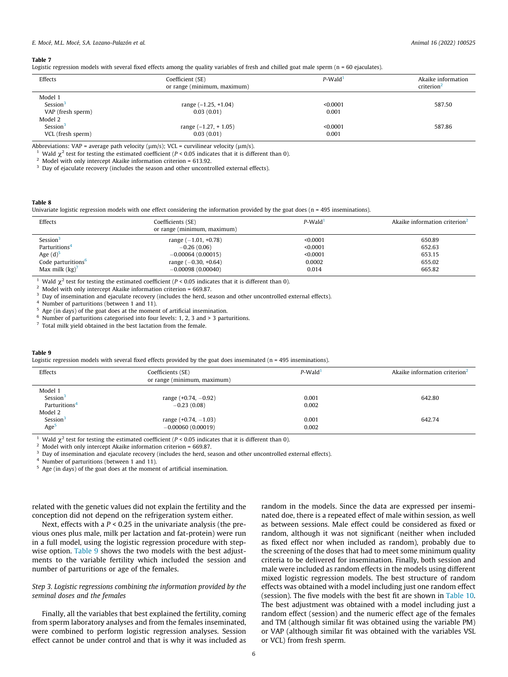#### <span id="page-5-0"></span>Table 7

Logistic regression models with several fixed effects among the quality variables of fresh and chilled goat male sperm (n = 60 ejaculates).

| Effects              | Coefficient (SE)<br>or range (minimum, maximum) |          | Akaike information<br>criterion <sup>2</sup> |
|----------------------|-------------------------------------------------|----------|----------------------------------------------|
| Model 1              |                                                 |          |                                              |
| Session <sup>3</sup> | range $(-1.25, +1.04)$                          | < 0.0001 | 587.50                                       |
| VAP (fresh sperm)    | 0.03(0.01)                                      | 0.001    |                                              |
| Model 2              |                                                 |          |                                              |
| Session <sup>3</sup> | range $(-1.27, +1.05)$                          | < 0.0001 | 587.86                                       |
| VCL (fresh sperm)    | 0.03(0.01)                                      | 0.001    |                                              |

Abbreviations: VAP = average path velocity ( $\mu$ m/s); VCL = curvilinear velocity ( $\mu$ m/s).<br><sup>1</sup> Wald  $\chi^2$  test for testing the estimated coefficient (*P* < 0.05 indicates that it is different than 0).<br><sup>2</sup> Model with onl

<sup>3</sup> Day of ejaculate recovery (includes the season and other uncontrolled external effects).

### Table 8

Univariate logistic regression models with one effect considering the information provided by the goat does (n = 495 inseminations).

| Effects                        | Coefficients (SE)<br>or range (minimum, maximum) | $P$ -Wald <sup>1</sup> | Akaike information criterion <sup>2</sup> |
|--------------------------------|--------------------------------------------------|------------------------|-------------------------------------------|
| Session <sup>3</sup>           | range $(-1.01, +0.78)$                           | < 0.0001               | 650.89                                    |
| Parturitions <sup>4</sup>      | $-0.26(0.06)$                                    | < 0.0001               | 652.63                                    |
| Age $(d)5$                     | $-0.00064(0.00015)$                              | < 0.0001               | 653.15                                    |
| Code parturitions <sup>6</sup> | range $(-0.30, +0.64)$                           | 0.0002                 | 655.02                                    |
| Max milk $(kg)^7$              | $-0.00098(0.00040)$                              | 0.014                  | 665.82                                    |

<sup>1</sup> Wald  $\chi^2$  test for testing the estimated coefficient (*P* < 0.05 indicates that it is different than 0).<br><sup>2</sup> Model with only intercept Akaike information criterion = 669.87.

<sup>3</sup> Day of insemination and ejaculate recovery (includes the herd, season and other uncontrolled external effects).

<sup>4</sup> Number of parturitions (between 1 and 11).

Age (in days) of the goat does at the moment of artificial insemination.

 $6$  Number of parturitions categorised into four levels: 1, 2, 3 and > 3 parturitions.

 $\frac{7}{7}$  Total milk yield obtained in the best lactation from the female.

#### Table 9

Logistic regression models with several fixed effects provided by the goat does inseminated (n = 495 inseminations).

| Effects                                                      | Coefficients (SE)<br>or range (minimum, maximum) | $P$ -Wald <sup>1</sup> | Akaike information criterion <sup>2</sup> |
|--------------------------------------------------------------|--------------------------------------------------|------------------------|-------------------------------------------|
| Model 1<br>Session <sup>3</sup><br>Parturitions <sup>4</sup> | range $(+0.74, -0.92)$<br>$-0.23(0.08)$          | 0.001<br>0.002         | 642.80                                    |
| Model 2<br>Session <sup>3</sup><br>Age <sup>5</sup>          | range $(+0.74, -1.03)$<br>$-0.00060(0.00019)$    | 0.001<br>0.002         | 642.74                                    |

Wald  $\chi^2$  test for testing the estimated coefficient (P < 0.05 indicates that it is different than 0). Model with only intercept Akaike information criterion = 669.87.

<sup>3</sup> Day of insemination and ejaculate recovery (includes the herd, season and other uncontrolled external effects).

<sup>4</sup> Number of parturitions (between 1 and 11).

<sup>5</sup> Age (in days) of the goat does at the moment of artificial insemination.

related with the genetic values did not explain the fertility and the conception did not depend on the refrigeration system either.

Next, effects with a  $P < 0.25$  in the univariate analysis (the previous ones plus male, milk per lactation and fat-protein) were run in a full model, using the logistic regression procedure with stepwise option. Table 9 shows the two models with the best adjustments to the variable fertility which included the session and number of parturitions or age of the females.

# Step 3. Logistic regressions combining the information provided by the seminal doses and the females

Finally, all the variables that best explained the fertility, coming from sperm laboratory analyses and from the females inseminated, were combined to perform logistic regression analyses. Session effect cannot be under control and that is why it was included as

random in the models. Since the data are expressed per inseminated doe, there is a repeated effect of male within session, as well as between sessions. Male effect could be considered as fixed or random, although it was not significant (neither when included as fixed effect nor when included as random), probably due to the screening of the doses that had to meet some minimum quality criteria to be delivered for insemination. Finally, both session and male were included as random effects in the models using different mixed logistic regression models. The best structure of random effects was obtained with a model including just one random effect (session). The five models with the best fit are shown in [Table 10.](#page-6-0) The best adjustment was obtained with a model including just a random effect (session) and the numeric effect age of the females and TM (although similar fit was obtained using the variable PM) or VAP (although similar fit was obtained with the variables VSL or VCL) from fresh sperm.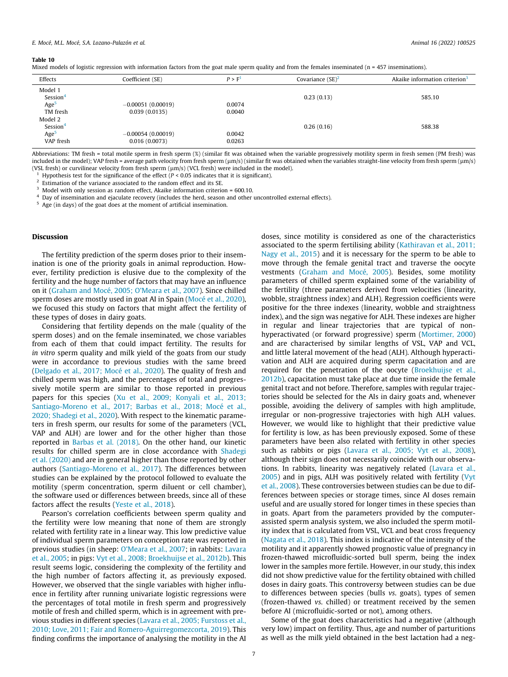#### <span id="page-6-0"></span>Table 10

Mixed models of logistic regression with information factors from the goat male sperm quality and from the females inseminated (n = 457 inseminations).

| Effects                         | Coefficient (SE)                     | P > F <sup>1</sup> | Covariance $(SE)^2$ | Akaike information criterion <sup>3</sup> |
|---------------------------------|--------------------------------------|--------------------|---------------------|-------------------------------------------|
| Model 1<br>Session <sup>4</sup> |                                      |                    | 0.23(0.13)          | 585.10                                    |
| Age <sup>5</sup>                | $-0.00051(0.00019)$                  | 0.0074             |                     |                                           |
| TM fresh                        | 0.039(0.0135)                        | 0.0040             |                     |                                           |
| Model 2                         |                                      |                    |                     |                                           |
| Session <sup>4</sup>            |                                      |                    | 0.26(0.16)          | 588.38                                    |
| Age <sup>5</sup><br>VAP fresh   | $-0.00054(0.00019)$<br>0.016(0.0073) | 0.0042<br>0.0263   |                     |                                           |

Abbreviations: TM fresh = total motile sperm in fresh sperm (%) (similar fit was obtained when the variable progressively motility sperm in fresh semen (PM fresh) was included in the model); VAP fresh = average path velocity from fresh sperm ( $\mu$ m/s) (similar fit was obtained when the variables straight-line velocity from fresh sperm ( $\mu$ m/s) (VSL fresh) or curvilinear velocity from fresh sperm ( $\mu$ m/s) (VCL fresh) were included in the model).<br><sup>1</sup> Hypothesis test for the significance of the effect (*P* < 0.05 indicates that it is significant).

<sup>2</sup> Estimation of the variance associated to the random effect and its SE.

 $3$  Model with only session as random effect, Akaike information criterion = 600.10.

<sup>4</sup> Day of insemination and ejaculate recovery (includes the herd, season and other uncontrolled external effects).

<sup>5</sup> Age (in days) of the goat does at the moment of artificial insemination.

#### Discussion

The fertility prediction of the sperm doses prior to their insemination is one of the priority goals in animal reproduction. However, fertility prediction is elusive due to the complexity of the fertility and the huge number of factors that may have an influence on it [\(Graham and Mocé, 2005; O'Meara et al., 2007\)](#page-8-0). Since chilled sperm doses are mostly used in goat AI in Spain ([Mocé et al., 2020\)](#page-9-0), we focused this study on factors that might affect the fertility of these types of doses in dairy goats.

Considering that fertility depends on the male (quality of the sperm doses) and on the female inseminated, we chose variables from each of them that could impact fertility. The results for in vitro sperm quality and milk yield of the goats from our study were in accordance to previous studies with the same breed ([Delgado et al., 2017; Mocé et al., 2020\)](#page-8-0). The quality of fresh and chilled sperm was high, and the percentages of total and progressively motile sperm are similar to those reported in previous papers for this species ([Xu et al., 2009; Konyali et al., 2013;](#page-9-0) [Santiago-Moreno et al., 2017; Barbas et al., 2018; Mocé et al.,](#page-9-0) [2020; Shadegi et al., 2020\)](#page-9-0). With respect to the kinematic parameters in fresh sperm, our results for some of the parameters (VCL, VAP and ALH) are lower and for the other higher than those reported in [Barbas et al. \(2018\)](#page-8-0). On the other hand, our kinetic results for chilled sperm are in close accordance with [Shadegi](#page-9-0) [et al. \(2020\)](#page-9-0) and are in general higher than those reported by other authors ([Santiago-Moreno et al., 2017](#page-9-0)). The differences between studies can be explained by the protocol followed to evaluate the motility (sperm concentration, sperm diluent or cell chamber), the software used or differences between breeds, since all of these factors affect the results [\(Yeste et al., 2018](#page-9-0)).

Pearson's correlation coefficients between sperm quality and the fertility were low meaning that none of them are strongly related with fertility rate in a linear way. This low predictive value of individual sperm parameters on conception rate was reported in previous studies (in sheep: [O'Meara et al., 2007](#page-9-0); in rabbits: [Lavara](#page-8-0) [et al., 2005](#page-8-0); in pigs: [Vyt et al., 2008; Broekhuijse et al., 2012b](#page-9-0)). This result seems logic, considering the complexity of the fertility and the high number of factors affecting it, as previously exposed. However, we observed that the single variables with higher influence in fertility after running univariate logistic regressions were the percentages of total motile in fresh sperm and progressively motile of fresh and chilled sperm, which is in agreement with previous studies in different species [\(Lavara et al., 2005; Furstoss et al.,](#page-8-0) [2010; Love, 2011; Fair and Romero-Aguirregomezcorta, 2019](#page-8-0)). This finding confirms the importance of analysing the motility in the AI doses, since motility is considered as one of the characteristics associated to the sperm fertilising ability ([Kathiravan et al., 2011;](#page-8-0) [Nagy et al., 2015\)](#page-8-0) and it is necessary for the sperm to be able to move through the female genital tract and traverse the oocyte vestments [\(Graham and Mocé, 2005\)](#page-8-0). Besides, some motility parameters of chilled sperm explained some of the variability of the fertility (three parameters derived from velocities (linearity, wobble, straightness index) and ALH). Regression coefficients were positive for the three indexes (linearity, wobble and straightness index), and the sign was negative for ALH. These indexes are higher in regular and linear trajectories that are typical of nonhyperactivated (or forward progressive) sperm [\(Mortimer, 2000\)](#page-9-0) and are characterised by similar lengths of VSL, VAP and VCL, and little lateral movement of the head (ALH). Although hyperactivation and ALH are acquired during sperm capacitation and are required for the penetration of the oocyte [\(Broekhuijse et al.,](#page-8-0) [2012b](#page-8-0)), capacitation must take place at due time inside the female genital tract and not before. Therefore, samples with regular trajectories should be selected for the AIs in dairy goats and, whenever possible, avoiding the delivery of samples with high amplitude, irregular or non-progressive trajectories with high ALH values. However, we would like to highlight that their predictive value for fertility is low, as has been previously exposed. Some of these parameters have been also related with fertility in other species such as rabbits or pigs [\(Lavara et al., 2005; Vyt et al., 2008\)](#page-8-0), although their sign does not necessarily coincide with our observations. In rabbits, linearity was negatively related ([Lavara et al.,](#page-8-0) [2005](#page-8-0)) and in pigs, ALH was positively related with fertility ([Vyt](#page-9-0) [et al., 2008](#page-9-0)). These controversies between studies can be due to differences between species or storage times, since AI doses remain useful and are usually stored for longer times in these species than in goats. Apart from the parameters provided by the computerassisted sperm analysis system, we also included the sperm motility index that is calculated from VSL, VCL and beat cross frequency ([Nagata et al., 2018\)](#page-9-0). This index is indicative of the intensity of the motility and it apparently showed prognostic value of pregnancy in frozen-thawed microfluidic-sorted bull sperm, being the index lower in the samples more fertile. However, in our study, this index did not show predictive value for the fertility obtained with chilled doses in dairy goats. This controversy between studies can be due to differences between species (bulls vs. goats), types of semen (frozen-thawed vs. chilled) or treatment received by the semen before AI (microfluidic-sorted or not), among others.

Some of the goat does characteristics had a negative (although very low) impact on fertility. Thus, age and number of parturitions as well as the milk yield obtained in the best lactation had a neg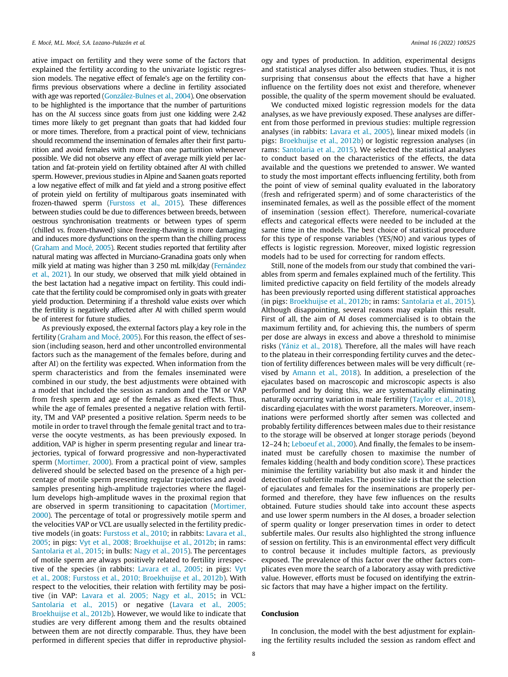ative impact on fertility and they were some of the factors that explained the fertility according to the univariate logistic regression models. The negative effect of female's age on the fertility confirms previous observations where a decline in fertility associated with age was reported ([González-Bulnes et al., 2004](#page-8-0)). One observation to be highlighted is the importance that the number of parturitions has on the AI success since goats from just one kidding were 2.42 times more likely to get pregnant than goats that had kidded four or more times. Therefore, from a practical point of view, technicians should recommend the insemination of females after their first parturition and avoid females with more than one parturition whenever possible. We did not observe any effect of average milk yield per lactation and fat-protein yield on fertility obtained after AI with chilled sperm. However, previous studies in Alpine and Saanen goats reported a low negative effect of milk and fat yield and a strong positive effect of protein yield on fertility of multiparous goats inseminated with frozen-thawed sperm ([Furstoss et al., 2015\)](#page-8-0). These differences between studies could be due to differences between breeds, between oestrous synchronisation treatments or between types of sperm (chilled vs. frozen-thawed) since freezing-thawing is more damaging and induces more dysfunctions on the sperm than the chilling process [\(Graham and Mocé, 2005\)](#page-8-0). Recent studies reported that fertility after natural mating was affected in Murciano-Granadina goats only when milk yield at mating was higher than 3 250 mL milk/day [\(Fernández](#page-8-0) [et al., 2021](#page-8-0)). In our study, we observed that milk yield obtained in the best lactation had a negative impact on fertility. This could indicate that the fertility could be compromised only in goats with greater yield production. Determining if a threshold value exists over which the fertility is negatively affected after AI with chilled sperm would be of interest for future studies.

As previously exposed, the external factors play a key role in the fertility ([Graham and Mocé, 2005\)](#page-8-0). For this reason, the effect of session (including season, herd and other uncontrolled environmental factors such as the management of the females before, during and after AI) on the fertility was expected. When information from the sperm characteristics and from the females inseminated were combined in our study, the best adjustments were obtained with a model that included the session as random and the TM or VAP from fresh sperm and age of the females as fixed effects. Thus, while the age of females presented a negative relation with fertility, TM and VAP presented a positive relation. Sperm needs to be motile in order to travel through the female genital tract and to traverse the oocyte vestments, as has been previously exposed. In addition, VAP is higher in sperm presenting regular and linear trajectories, typical of forward progressive and non-hyperactivated sperm [\(Mortimer, 2000\)](#page-9-0). From a practical point of view, samples delivered should be selected based on the presence of a high percentage of motile sperm presenting regular trajectories and avoid samples presenting high-amplitude trajectories where the flagellum develops high-amplitude waves in the proximal region that are observed in sperm transitioning to capacitation ([Mortimer,](#page-9-0) [2000](#page-9-0)). The percentage of total or progressively motile sperm and the velocities VAP or VCL are usually selected in the fertility predictive models (in goats: [Furstoss et al., 2010;](#page-8-0) in rabbits: [Lavara et al.,](#page-8-0) [2005](#page-8-0); in pigs: [Vyt et al., 2008; Broekhuijse et al., 2012b](#page-9-0); in rams: [Santolaria et al., 2015](#page-9-0); in bulls: [Nagy et al., 2015](#page-9-0)). The percentages of motile sperm are always positively related to fertility irrespective of the species (in rabbits: [Lavara et al., 2005](#page-8-0); in pigs: [Vyt](#page-9-0) [et al., 2008; Furstoss et al., 2010; Broekhuijse et al., 2012b\)](#page-9-0). With respect to the velocities, their relation with fertility may be positive (in VAP: [Lavara et al. 2005; Nagy et al., 2015;](#page-8-0) in VCL: [Santolaria et al., 2015](#page-9-0)) or negative [\(Lavara et al., 2005;](#page-8-0) [Broekhuijse et al., 2012b](#page-8-0)). However, we would like to indicate that studies are very different among them and the results obtained between them are not directly comparable. Thus, they have been performed in different species that differ in reproductive physiol-

ogy and types of production. In addition, experimental designs and statistical analyses differ also between studies. Thus, it is not surprising that consensus about the effects that have a higher influence on the fertility does not exist and therefore, whenever possible, the quality of the sperm movement should be evaluated.

We conducted mixed logistic regression models for the data analyses, as we have previously exposed. These analyses are different from those performed in previous studies: multiple regression analyses (in rabbits: [Lavara et al., 2005\)](#page-8-0), linear mixed models (in pigs: [Broekhuijse et al., 2012b](#page-8-0)) or logistic regression analyses (in rams: [Santolaria et al., 2015](#page-9-0)). We selected the statistical analyses to conduct based on the characteristics of the effects, the data available and the questions we pretended to answer. We wanted to study the most important effects influencing fertility, both from the point of view of seminal quality evaluated in the laboratory (fresh and refrigerated sperm) and of some characteristics of the inseminated females, as well as the possible effect of the moment of insemination (session effect). Therefore, numerical-covariate effects and categorical effects were needed to be included at the same time in the models. The best choice of statistical procedure for this type of response variables (YES/NO) and various types of effects is logistic regression. Moreover, mixed logistic regression models had to be used for correcting for random effects.

Still, none of the models from our study that combined the variables from sperm and females explained much of the fertility. This limited predictive capacity on field fertility of the models already has been previously reported using different statistical approaches (in pigs: [Broekhuijse et al., 2012b;](#page-8-0) in rams: [Santolaria et al., 2015\)](#page-9-0). Although disappointing, several reasons may explain this result. First of all, the aim of AI doses commercialised is to obtain the maximum fertility and, for achieving this, the numbers of sperm per dose are always in excess and above a threshold to minimise risks [\(Yániz et al., 2018\)](#page-9-0). Therefore, all the males will have reach to the plateau in their corresponding fertility curves and the detection of fertility differences between males will be very difficult (revised by [Amann et al., 2018\)](#page-8-0). In addition, a preselection of the ejaculates based on macroscopic and microscopic aspects is also performed and by doing this, we are systematically eliminating naturally occurring variation in male fertility [\(Taylor et al., 2018\)](#page-9-0), discarding ejaculates with the worst parameters. Moreover, inseminations were performed shortly after semen was collected and probably fertility differences between males due to their resistance to the storage will be observed at longer storage periods (beyond 12–24 h; [Leboeuf et al., 2000](#page-8-0)). And finally, the females to be inseminated must be carefully chosen to maximise the number of females kidding (health and body condition score). These practices minimise the fertility variability but also mask it and hinder the detection of subfertile males. The positive side is that the selection of ejaculates and females for the inseminations are properly performed and therefore, they have few influences on the results obtained. Future studies should take into account these aspects and use lower sperm numbers in the AI doses, a broader selection of sperm quality or longer preservation times in order to detect subfertile males. Our results also highlighted the strong influence of session on fertility. This is an environmental effect very difficult to control because it includes multiple factors, as previously exposed. The prevalence of this factor over the other factors complicates even more the search of a laboratory assay with predictive value. However, efforts must be focused on identifying the extrinsic factors that may have a higher impact on the fertility.

# Conclusion

In conclusion, the model with the best adjustment for explaining the fertility results included the session as random effect and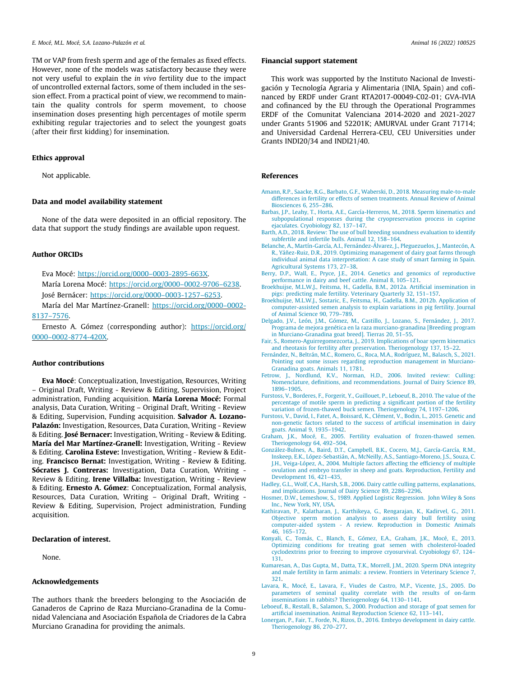<span id="page-8-0"></span>TM or VAP from fresh sperm and age of the females as fixed effects. However, none of the models was satisfactory because they were not very useful to explain the in vivo fertility due to the impact of uncontrolled external factors, some of them included in the session effect. From a practical point of view, we recommend to maintain the quality controls for sperm movement, to choose insemination doses presenting high percentages of motile sperm exhibiting regular trajectories and to select the youngest goats (after their first kidding) for insemination.

# Ethics approval

Not applicable.

# Data and model availability statement

None of the data were deposited in an official repository. The data that support the study findings are available upon request.

# Author ORCIDs

Eva Mocé: [https://orcid.org/0000–0003-2895-663X](https://orcid.org/0000%e2%80%930003-2895-663X).

María Lorena Mocé: [https://orcid.org/0000–0002-9706–6238.](https://orcid.org/0000%e2%80%930002-9706%e2%80%936238) José Bernácer: [https://orcid.org/0000–0003-1257–6253.](https://orcid.org/0000%e2%80%930003-1257%e2%80%936253)

María del Mar Martínez-Granell: [https://orcid.org/0000–0002-](https://orcid.org/0000%e2%80%930002-8137%e2%80%937576) [8137–7576](https://orcid.org/0000%e2%80%930002-8137%e2%80%937576).

Ernesto A. Gómez (corresponding author): [https://orcid.org/](https://orcid.org/0000%e2%80%930002-8774-420X) [0000–0002-8774-420X](https://orcid.org/0000%e2%80%930002-8774-420X).

#### Author contributions

Eva Mocé: Conceptualization, Investigation, Resources, Writing – Original Draft, Writing - Review & Editing, Supervision, Project administration, Funding acquisition. María Lorena Mocé: Formal analysis, Data Curation, Writing – Original Draft, Writing - Review & Editing, Supervision, Funding acquisition. Salvador A. Lozano-Palazón: Investigation, Resources, Data Curation, Writing - Review & Editing. José Bernacer: Investigation, Writing - Review & Editing. María del Mar Martínez-Granell: Investigation, Writing - Review & Editing. Carolina Esteve: Investigation, Writing - Review & Editing. Francisco Bernat: Investigation, Writing - Review & Editing. Sócrates J. Contreras: Investigation, Data Curation, Writing -Review & Editing. Irene Villalba: Investigation, Writing - Review & Editing. Ernesto A. Gómez: Conceptualization, Formal analysis, Resources, Data Curation, Writing – Original Draft, Writing - Review & Editing, Supervision, Project administration, Funding acquisition.

#### Declaration of interest.

None.

# Acknowledgements

The authors thank the breeders belonging to the Asociación de Ganaderos de Caprino de Raza Murciano-Granadina de la Comunidad Valenciana and Asociación Española de Criadores de la Cabra Murciano Granadina for providing the animals.

# Financial support statement

This work was supported by the Instituto Nacional de Investigación y Tecnología Agraria y Alimentaria (INIA, Spain) and cofinanced by ERDF under Grant RTA2017-00049-C02-01; GVA-IVIA and cofinanced by the EU through the Operational Programmes ERDF of the Comunitat Valenciana 2014-2020 and 2021-2027 under Grants 51906 and 52201K; AMURVAL under Grant 71714; and Universidad Cardenal Herrera-CEU, CEU Universities under Grants INDI20/34 and INDI21/40.

### References

- [Amann, R.P., Saacke, R.G., Barbato, G.F., Waberski, D., 2018. Measuring male-to-male](http://refhub.elsevier.com/S1751-7311(22)00076-3/h0005) [differences in fertility or effects of semen treatments. Annual Review of Animal](http://refhub.elsevier.com/S1751-7311(22)00076-3/h0005) [Biosciences 6, 255–286](http://refhub.elsevier.com/S1751-7311(22)00076-3/h0005).
- [Barbas, J.P., Leahy, T., Horta, A.E., García-Herreros, M., 2018. Sperm kinematics and](http://refhub.elsevier.com/S1751-7311(22)00076-3/h0010) [subpopulational responses during the cryopreservation process in caprine](http://refhub.elsevier.com/S1751-7311(22)00076-3/h0010) [ejaculates. Cryobiology 82, 137–147.](http://refhub.elsevier.com/S1751-7311(22)00076-3/h0010)
- [Barth, A.D., 2018. Review: The use of bull breeding soundness evaluation to identify](http://refhub.elsevier.com/S1751-7311(22)00076-3/h0015) [subfertile and infertile bulls. Animal 12, 158–164](http://refhub.elsevier.com/S1751-7311(22)00076-3/h0015).
- [Belanche, A., Martín-García, A.I., Fernández-Álvarez, J., Pleguezuelos, J., Mantecón, A.](http://refhub.elsevier.com/S1751-7311(22)00076-3/h0020) [R., Yáñez-Ruiz, D.R., 2019. Optimizing management of dairy goat farms through](http://refhub.elsevier.com/S1751-7311(22)00076-3/h0020) [individual animal data interpretation: A case study of smart farming in Spain.](http://refhub.elsevier.com/S1751-7311(22)00076-3/h0020) [Agricultural Systems 173, 27–38.](http://refhub.elsevier.com/S1751-7311(22)00076-3/h0020)
- [Berry, D.P., Wall, E., Pryce, J.E., 2014. Genetics and genomics of reproductive](http://refhub.elsevier.com/S1751-7311(22)00076-3/h0025) [performance in dairy and beef cattle. Animal 8, 105–121.](http://refhub.elsevier.com/S1751-7311(22)00076-3/h0025)
- [Broekhuijse, M.L.W.J., Feitsma, H., Gadella, B.M., 2012a. Artificial insemination in](http://refhub.elsevier.com/S1751-7311(22)00076-3/h0030) [pigs: predicting male fertility. Veterinary Quarterly 32, 151–157.](http://refhub.elsevier.com/S1751-7311(22)00076-3/h0030) [Broekhuijse, M.L.W.J., Sostaric, E., Feitsma, H., Gadella, B.M., 2012b. Application of](http://refhub.elsevier.com/S1751-7311(22)00076-3/h0035)
- [computer-assisted semen analysis to explain variations in pig fertility. Journal](http://refhub.elsevier.com/S1751-7311(22)00076-3/h0035) [of Animal Science 90, 779–789.](http://refhub.elsevier.com/S1751-7311(22)00076-3/h0035)
- [Delgado, J.V., León, J.M., Gómez, M., Castillo, J., Lozano, S., Fernández, J., 2017.](http://refhub.elsevier.com/S1751-7311(22)00076-3/h0040) [Programa de mejora genética en la raza murciano-granadina \[Breeding program](http://refhub.elsevier.com/S1751-7311(22)00076-3/h0040) [in Murciano-Granadina goat breed\]. Tierras 20, 51–55](http://refhub.elsevier.com/S1751-7311(22)00076-3/h0040).
- [Fair, S., Romero-Aguirregomezcorta, J., 2019. Implications of boar sperm kinematics](http://refhub.elsevier.com/S1751-7311(22)00076-3/h0045) [and rheotaxis for fertility after preservation. Theriogenology 137, 15–22.](http://refhub.elsevier.com/S1751-7311(22)00076-3/h0045)
- [Fernández, N., Beltrán, M.C., Romero, G., Roca, M.A., Rodríguez, M., Balasch, S., 2021.](http://refhub.elsevier.com/S1751-7311(22)00076-3/h0050) [Pointing out some issues regarding reproduction management in Murciano-](http://refhub.elsevier.com/S1751-7311(22)00076-3/h0050)[Granadina goats. Animals 11, 1781.](http://refhub.elsevier.com/S1751-7311(22)00076-3/h0050)
- [Fetrow, J., Nordlund, K.V., Norman, H.D., 2006. Invited review: Culling:](http://refhub.elsevier.com/S1751-7311(22)00076-3/h0055) [Nomenclature, definitions, and recommendations. Journal of Dairy Science 89,](http://refhub.elsevier.com/S1751-7311(22)00076-3/h0055) [1896–1905.](http://refhub.elsevier.com/S1751-7311(22)00076-3/h0055)
- [Furstoss, V., Borderes, F., Forgerit, Y., Guillouet, P., Leboeuf, B., 2010. The value of the](http://refhub.elsevier.com/S1751-7311(22)00076-3/h0060) [percentage of motile sperm in predicting a significant portion of the fertility](http://refhub.elsevier.com/S1751-7311(22)00076-3/h0060) [variation of frozen-thawed buck semen. Theriogenology 74, 1197–1206.](http://refhub.elsevier.com/S1751-7311(22)00076-3/h0060)
- [Furstoss, V., David, I., Fatet, A., Boissard, K., Clément, V., Bodin, L., 2015. Genetic and](http://refhub.elsevier.com/S1751-7311(22)00076-3/h0065) [non-genetic factors related to the success of artificial insemination in dairy](http://refhub.elsevier.com/S1751-7311(22)00076-3/h0065) [goats. Animal 9, 1935–1942.](http://refhub.elsevier.com/S1751-7311(22)00076-3/h0065)
- [Graham, J.K., Mocé, E., 2005. Fertility evaluation of frozen-thawed semen.](http://refhub.elsevier.com/S1751-7311(22)00076-3/h0070) [Theriogenology 64, 492–504](http://refhub.elsevier.com/S1751-7311(22)00076-3/h0070).
- [González-Bulnes, A., Baird, D.T., Campbell, B.K., Cocero, M.J., García-García, R.M.,](http://refhub.elsevier.com/S1751-7311(22)00076-3/h0075) [Inskeep, E.K., López-Sebastián, A., McNeilly, A.S., Santiago-Moreno, J.S., Souza, C.](http://refhub.elsevier.com/S1751-7311(22)00076-3/h0075) [J.H., Veiga-López, A., 2004. Multiple factors affecting the efficiency of multiple](http://refhub.elsevier.com/S1751-7311(22)00076-3/h0075) [ovulation and embryo transfer in sheep and goats. Reproduction, Fertility and](http://refhub.elsevier.com/S1751-7311(22)00076-3/h0075) [Development 16, 421–435](http://refhub.elsevier.com/S1751-7311(22)00076-3/h0075).
- [Hadley, G.L., Wolf, C.A., Harsh, S.B., 2006. Dairy cattle culling patterns, explanations,](http://refhub.elsevier.com/S1751-7311(22)00076-3/h0080) [and implications. Journal of Dairy Science 89, 2286–2296](http://refhub.elsevier.com/S1751-7311(22)00076-3/h0080).
- [Hosmer, D.W., Lemeshow, S., 1989. Applied Logistic Regression. John Wiley & Sons](http://refhub.elsevier.com/S1751-7311(22)00076-3/h0085) [Inc., New York, NY, USA](http://refhub.elsevier.com/S1751-7311(22)00076-3/h0085).
- [Kathiravan, P., Kalatharan, J., Karthikeya, G., Rengarajan, K., Kadirvel, G., 2011.](http://refhub.elsevier.com/S1751-7311(22)00076-3/h0090) [Objective sperm motion analysis to assess dairy bull fertility using](http://refhub.elsevier.com/S1751-7311(22)00076-3/h0090) [computer-aided system - A review. Reproduction in Domestic Animals](http://refhub.elsevier.com/S1751-7311(22)00076-3/h0090) [46, 165–172.](http://refhub.elsevier.com/S1751-7311(22)00076-3/h0090)
- [Konyali, C., Tomás, C., Blanch, E., Gómez, E.A., Graham, J.K., Mocé, E., 2013.](http://refhub.elsevier.com/S1751-7311(22)00076-3/h0095) [Optimizing conditions for treating goat semen with cholesterol-loaded](http://refhub.elsevier.com/S1751-7311(22)00076-3/h0095) [cyclodextrins prior to freezing to improve cryosurvival. Cryobiology 67, 124–](http://refhub.elsevier.com/S1751-7311(22)00076-3/h0095) [131](http://refhub.elsevier.com/S1751-7311(22)00076-3/h0095).
- [Kumaresan, A., Das Gupta, M., Datta, T.K., Morrell, J.M., 2020. Sperm DNA integrity](http://refhub.elsevier.com/S1751-7311(22)00076-3/h0100) [and male fertility in farm animals: a review. Frontiers in Veterinary Science 7,](http://refhub.elsevier.com/S1751-7311(22)00076-3/h0100) [321](http://refhub.elsevier.com/S1751-7311(22)00076-3/h0100).
- [Lavara, R., Mocé, E., Lavara, F., Viudes de Castro, M.P., Vicente, J.S., 2005. Do](http://refhub.elsevier.com/S1751-7311(22)00076-3/h0105) [parameters of seminal quality correlate with the results of on-farm](http://refhub.elsevier.com/S1751-7311(22)00076-3/h0105) [inseminations in rabbits? Theriogenology 64, 1130–1141.](http://refhub.elsevier.com/S1751-7311(22)00076-3/h0105)
- [Leboeuf, B., Restall, B., Salamon, S., 2000. Production and storage of goat semen for](http://refhub.elsevier.com/S1751-7311(22)00076-3/h0110) [artificial insemination. Animal Reproduction Science 62, 113–141](http://refhub.elsevier.com/S1751-7311(22)00076-3/h0110).
- [Lonergan, P., Fair, T., Forde, N., Rizos, D., 2016. Embryo development in dairy cattle.](http://refhub.elsevier.com/S1751-7311(22)00076-3/h0115) [Theriogenology 86, 270–277](http://refhub.elsevier.com/S1751-7311(22)00076-3/h0115).